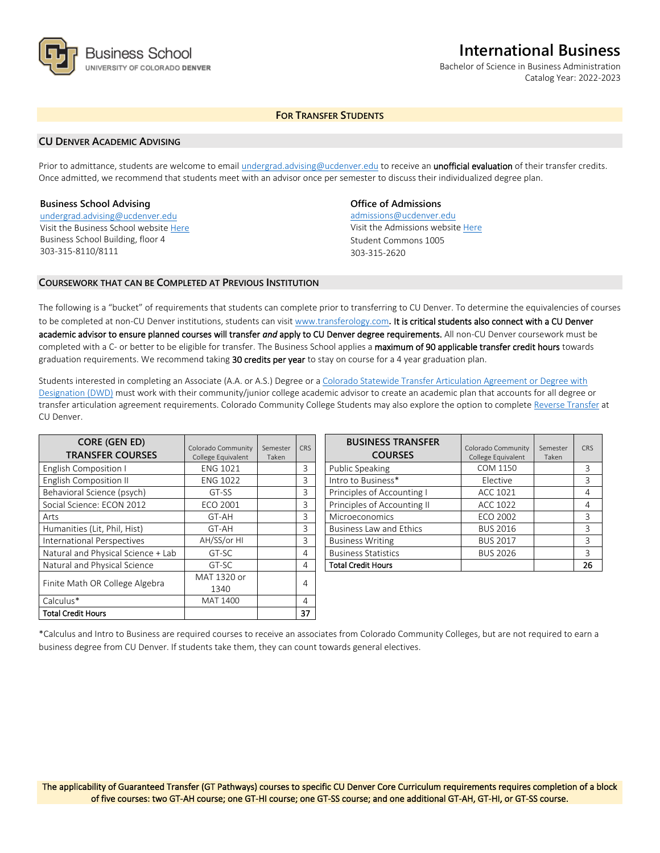

## **International Business**

Bachelor of Science in Business Administration Catalog Year: 2022-2023

## **FOR TRANSFER STUDENTS**

### **CU DENVER ACADEMIC ADVISING**

Prior to admittance, students are welcome to email [undergrad.advising@ucdenver.edu](mailto:undergrad.advising@ucdenver.edu) to receive an *unofficial evaluation* of their transfer credits. Once admitted, we recommend that students meet with an advisor once per semester to discuss their individualized degree plan.

### **Business School Advising**

[undergrad.advising@ucdenver.edu](mailto:undergrad.advising@ucdenver.edu) Visit the Business School websit[e Here](http://www.ucdenver.edu/academics/colleges/business/Pages/business-school.aspx)  Business School Building, floor 4 303-315-8110/8111

## **Office of Admissions**

admissions@ucdenver.edu Visit the Admissions website [Here](http://www.ucdenver.edu/admissions/) Student Commons 1005 303-315-2620

### **COURSEWORK THAT CAN BE COMPLETED AT PREVIOUS INSTITUTION**

The following is a "bucket" of requirements that students can complete prior to transferring to CU Denver. To determine the equivalencies of courses to be completed at non-CU Denver institutions, students can visit [www.transferology.com](http://www.transferology.com/)**.** It is critical students also connect with a CU Denver academic advisor to ensure planned courses will transfer *and* apply to CU Denver degree requirements. All non-CU Denver coursework must be completed with a C- or better to be eligible for transfer. The Business School applies a maximum of 90 applicable transfer credit hours towards graduation requirements. We recommend taking 30 credits per year to stay on course for a 4 year graduation plan.

Students interested in completing an Associate (A.A. or A.S.) Degree or a [Colorado Statewide Transfer Articulation Agreement or Degree with](https://highered.colorado.gov/Academics/Transfers/TransferDegrees.html)  [Designation \(DWD\)](https://highered.colorado.gov/Academics/Transfers/TransferDegrees.html) must work with their community/junior college academic advisor to create an academic plan that accounts for all degree or transfer articulation agreement requirements. Colorado Community College Students may also explore the option to complet[e Reverse Transfer](https://degreewithinreach.wordpress.com/) at CU Denver.

| <b>CORE (GEN ED)</b><br><b>TRANSFER COURSES</b> | Colorado Community<br>College Equivalent | Semester<br>Taken | <b>CRS</b> |
|-------------------------------------------------|------------------------------------------|-------------------|------------|
| <b>English Composition I</b>                    | <b>ENG 1021</b>                          |                   | 3          |
| <b>English Composition II</b>                   | <b>ENG 1022</b>                          |                   | 3          |
| Behavioral Science (psych)                      | GT-SS                                    |                   | 3          |
| Social Science: ECON 2012                       | <b>ECO 2001</b>                          |                   | 3          |
| Arts                                            | GT-AH                                    |                   | 3          |
| Humanities (Lit, Phil, Hist)                    | GT-AH                                    |                   | 3          |
| International Perspectives                      | AH/SS/or HI                              |                   | 3          |
| Natural and Physical Science + Lab              | GT-SC                                    |                   | 4          |
| Natural and Physical Science                    | GT-SC                                    |                   | 4          |
| Finite Math OR College Algebra                  | MAT 1320 or                              |                   |            |
|                                                 | 1340                                     |                   | 4          |
| Calculus*                                       | MAT 1400                                 |                   | 4          |
| Total Credit Hours                              |                                          |                   | 37         |

| <b>BUSINESS TRANSFER</b><br><b>COURSES</b> | Colorado Community<br>College Equivalent | Semester<br>Taken | CRS |
|--------------------------------------------|------------------------------------------|-------------------|-----|
| <b>Public Speaking</b>                     | COM 1150                                 |                   | 3   |
| Intro to Business*                         | Elective                                 |                   | 3   |
| Principles of Accounting I                 | ACC 1021                                 |                   | 4   |
| Principles of Accounting II                | ACC 1022                                 |                   | 4   |
| Microeconomics                             | ECO 2002                                 |                   | 3   |
| <b>Business Law and Ethics</b>             | <b>BUS 2016</b>                          |                   | 3   |
| <b>Business Writing</b>                    | <b>BUS 2017</b>                          |                   | ζ   |
| <b>Business Statistics</b>                 | <b>BUS 2026</b>                          |                   | 3   |
| <b>Total Credit Hours</b>                  |                                          |                   | 26  |

\*Calculus and Intro to Business are required courses to receive an associates from Colorado Community Colleges, but are not required to earn a business degree from CU Denver. If students take them, they can count towards general electives.